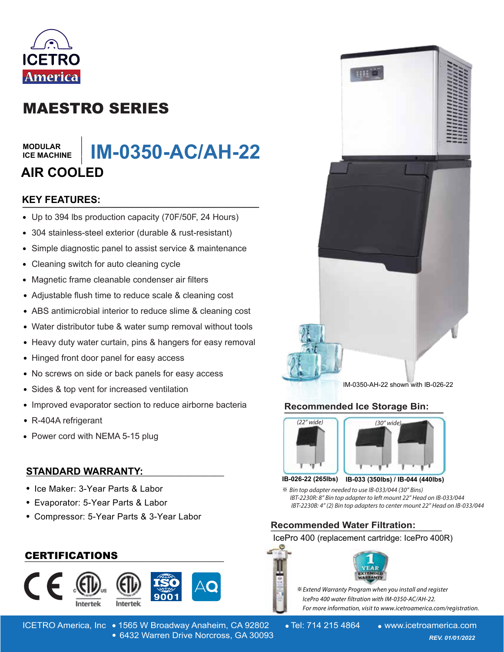

# MAESTRO SERIES

#### **MODULAR ICE MACHINE**

# **IM-0350-AC/AH-22** MODULAR<br>ICE MACHINE | **IM-0350-AC/AH-22**<br>AIR COOLED<br>KEY FEATURES: **AIR COOLED**

## **KEY FEATURES:**

- Up to 394 lbs production capacity (70F/50F, 24 Hours)
- 304 stainless-steel exterior (durable & rust-resistant)
- Simple diagnostic panel to assist service & maintenance  $\bullet$
- Cleaning switch for auto cleaning cycle  $\bullet$
- Magnetic frame cleanable condenser air filters  $\bullet$
- Adjustable flush time to reduce scale & cleaning cost
- ABS antimicrobial interior to reduce slime & cleaning cost
- Water distributor tube & water sump removal without tools
- Heavy duty water curtain, pins & hangers for easy removal
- Hinged front door panel for easy access
- No screws on side or back panels for easy access  $\bullet$
- $\bullet$ Sides & top vent for increased ventilation
- Improved evaporator section to reduce airborne bacteria
- R-404A refrigerant
- Power cord with NEMA 5-15 plug

# **STANDARD WARRANTY: \_\_\_\_\_\_\_\_\_\_\_\_\_\_\_\_\_\_\_\_\_\_\_\_\_\_\_\_\_\_\_\_\_\_\_\_\_\_\_\_**

- Ice Maker: 3-Year Parts & Labor
- Evaporator: 5-Year Parts & Labor
- Compressor: 5-Year Parts & 3-Year Labor

# **\_\_\_\_\_\_\_\_\_\_\_\_\_\_\_\_\_\_\_\_\_\_\_\_\_\_\_\_\_\_\_\_\_\_\_\_\_\_\_\_** CERTIFICATIONS





ICETRO America, Inc • 1565 W Broadway Anaheim, CA 92802 • Tel: 714 215 4864 • www.icetroamerica.com 6432 Warren Drive Norcross, GA 30093 *REV. 01/01/2022* 6432 Warren Drive Norcross, GA 30093



IM-0350-AH-22 shown with IB-026-22

# **Recommended Ice Storage Bin: \_\_\_\_\_\_\_\_\_\_\_\_\_\_\_\_\_\_\_\_\_\_\_\_\_\_\_\_\_\_\_\_\_\_\_\_\_\_**





**IB-033 (350lbs) / IB-044 (440lbs) IB-026-22 (265lbs)**

 $\%$  **Bin top adapter needed to use IB-033/044 (30" Bins)** IBT-2230R: 8" Bin top adapter to left mount 22" Head on IB-033/044 IBT-2230B: 4" (2) Bin top adapters to center mount 22" Head on IB-033/044

# **Recommended Water Filtration: \_\_\_\_\_\_\_\_\_\_\_\_\_\_\_\_\_\_\_**

### IcePro 400 (replacement cartridge: IcePro 400R)



**Extend Warranty Program when you install and register** lcePro 400 water filtration with IM-0350-AC/AH-22. For more information, visit to www.icetroamerica.com/registration.